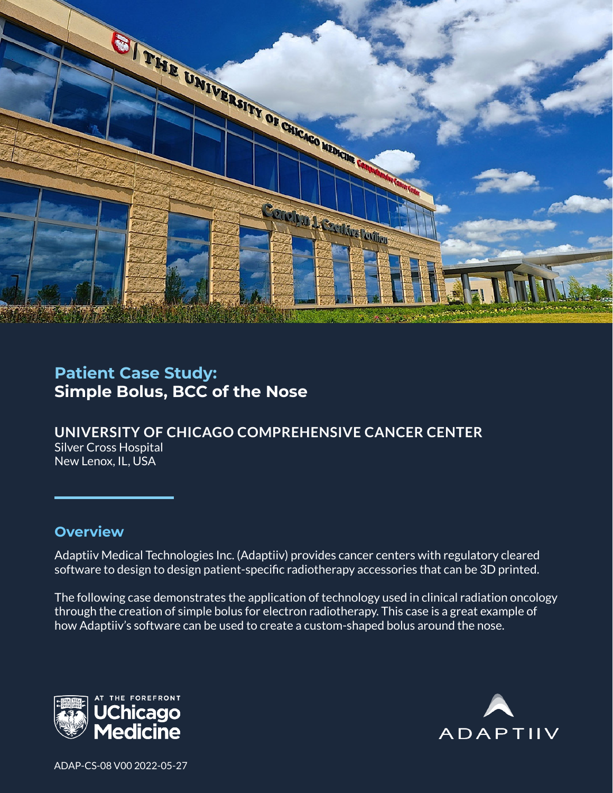

# **Patient Case Study: Simple Bolus, BCC of the Nose**

**UNIVERSITY OF CHICAGO COMPREHENSIVE CANCER CENTER** Silver Cross Hospital New Lenox, IL, USA

#### **Overview**

Adaptiiv Medical Technologies Inc. (Adaptiiv) provides cancer centers with regulatory cleared software to design to design patient-specific radiotherapy accessories that can be 3D printed.

The following case demonstrates the application of technology used in clinical radiation oncology through the creation of simple bolus for electron radiotherapy. This case is a great example of how Adaptiiv's software can be used to create a custom-shaped bolus around the nose.





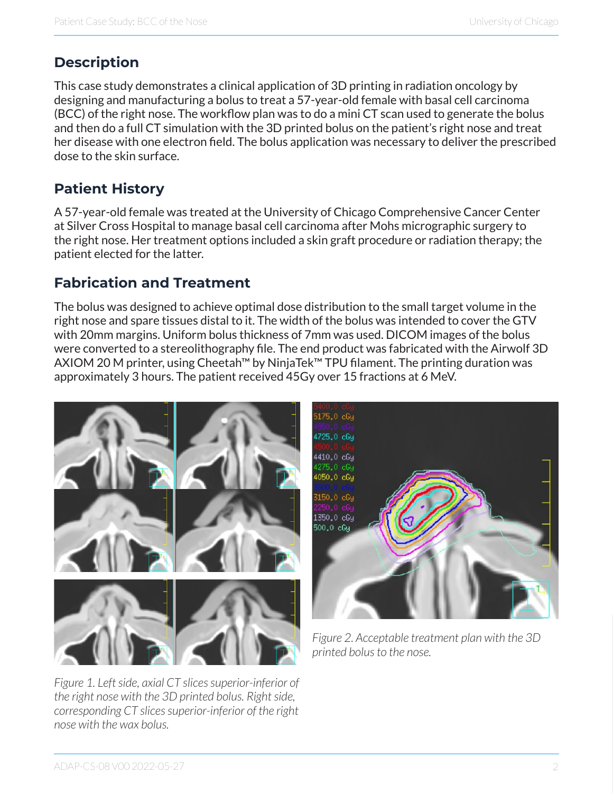# **Description**

This case study demonstrates a clinical application of 3D printing in radiation oncology by designing and manufacturing a bolus to treat a 57-year-old female with basal cell carcinoma (BCC) of the right nose. The workflow plan was to do a mini CT scan used to generate the bolus and then do a full CT simulation with the 3D printed bolus on the patient's right nose and treat her disease with one electron field. The bolus application was necessary to deliver the prescribed dose to the skin surface.

## **Patient History**

A 57-year-old female was treated at the University of Chicago Comprehensive Cancer Center at Silver Cross Hospital to manage basal cell carcinoma after Mohs micrographic surgery to the right nose. Her treatment options included a skin graft procedure or radiation therapy; the patient elected for the latter.

### **Fabrication and Treatment**

The bolus was designed to achieve optimal dose distribution to the small target volume in the right nose and spare tissues distal to it. The width of the bolus was intended to cover the GTV with 20mm margins. Uniform bolus thickness of 7mm was used. DICOM images of the bolus were converted to a stereolithography file. The end product was fabricated with the Airwolf 3D AXIOM 20 M printer, using Cheetah™ by NinjaTek™ TPU filament. The printing duration was approximately 3 hours. The patient received 45Gy over 15 fractions at 6 MeV.



*Figure 1. Left side, axial CT slices superior-inferior of the right nose with the 3D printed bolus. Right side, corresponding CT slices superior-inferior of the right nose with the wax bolus.*



*Figure 2. Acceptable treatment plan with the 3D printed bolus to the nose.*